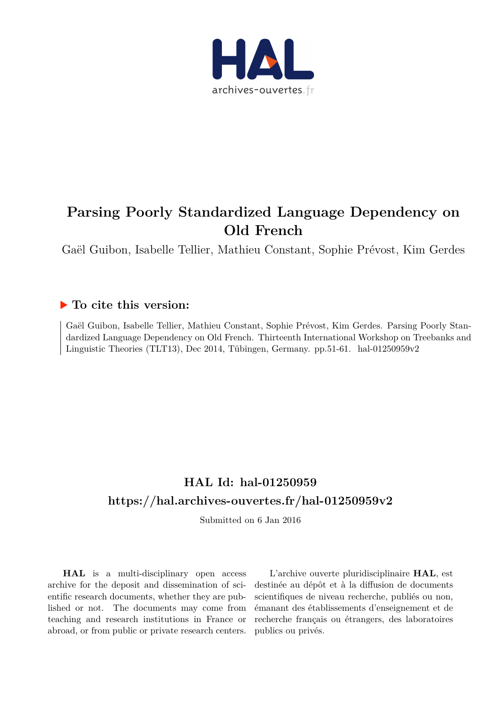

# **Parsing Poorly Standardized Language Dependency on Old French**

Gaël Guibon, Isabelle Tellier, Mathieu Constant, Sophie Prévost, Kim Gerdes

## **To cite this version:**

Gaël Guibon, Isabelle Tellier, Mathieu Constant, Sophie Prévost, Kim Gerdes. Parsing Poorly Standardized Language Dependency on Old French. Thirteenth International Workshop on Treebanks and Linguistic Theories (TLT13), Dec 2014, Tübingen, Germany. pp.51-61. hal-01250959 $v2$ 

## **HAL Id: hal-01250959 <https://hal.archives-ouvertes.fr/hal-01250959v2>**

Submitted on 6 Jan 2016

**HAL** is a multi-disciplinary open access archive for the deposit and dissemination of scientific research documents, whether they are published or not. The documents may come from teaching and research institutions in France or abroad, or from public or private research centers.

L'archive ouverte pluridisciplinaire **HAL**, est destinée au dépôt et à la diffusion de documents scientifiques de niveau recherche, publiés ou non, émanant des établissements d'enseignement et de recherche français ou étrangers, des laboratoires publics ou privés.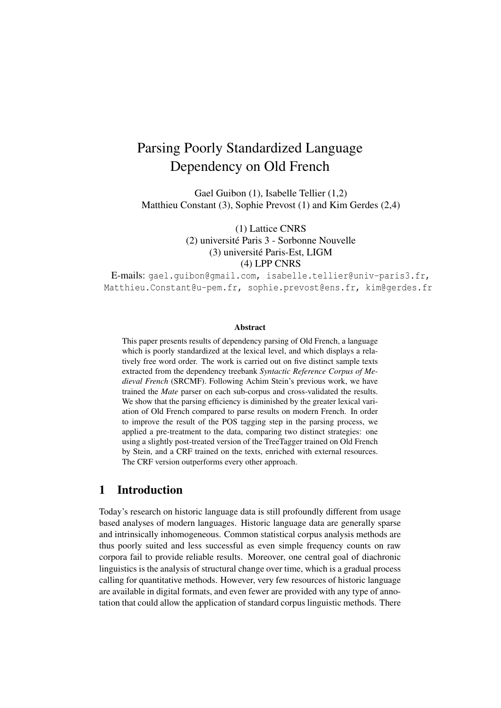# Parsing Poorly Standardized Language Dependency on Old French

Gael Guibon (1), Isabelle Tellier (1,2) Matthieu Constant (3), Sophie Prevost (1) and Kim Gerdes (2,4)

> (1) Lattice CNRS (2) université Paris 3 - Sorbonne Nouvelle (3) université Paris-Est, LIGM (4) LPP CNRS

E-mails: gael.guibon@gmail.com, isabelle.tellier@univ-paris3.fr, Matthieu.Constant@u-pem.fr, sophie.prevost@ens.fr, kim@gerdes.fr

#### Abstract

This paper presents results of dependency parsing of Old French, a language which is poorly standardized at the lexical level, and which displays a relatively free word order. The work is carried out on five distinct sample texts extracted from the dependency treebank *Syntactic Reference Corpus of Medieval French* (SRCMF). Following Achim Stein's previous work, we have trained the *Mate* parser on each sub-corpus and cross-validated the results. We show that the parsing efficiency is diminished by the greater lexical variation of Old French compared to parse results on modern French. In order to improve the result of the POS tagging step in the parsing process, we applied a pre-treatment to the data, comparing two distinct strategies: one using a slightly post-treated version of the TreeTagger trained on Old French by Stein, and a CRF trained on the texts, enriched with external resources. The CRF version outperforms every other approach.

## 1 Introduction

Today's research on historic language data is still profoundly different from usage based analyses of modern languages. Historic language data are generally sparse and intrinsically inhomogeneous. Common statistical corpus analysis methods are thus poorly suited and less successful as even simple frequency counts on raw corpora fail to provide reliable results. Moreover, one central goal of diachronic linguistics is the analysis of structural change over time, which is a gradual process calling for quantitative methods. However, very few resources of historic language are available in digital formats, and even fewer are provided with any type of annotation that could allow the application of standard corpus linguistic methods. There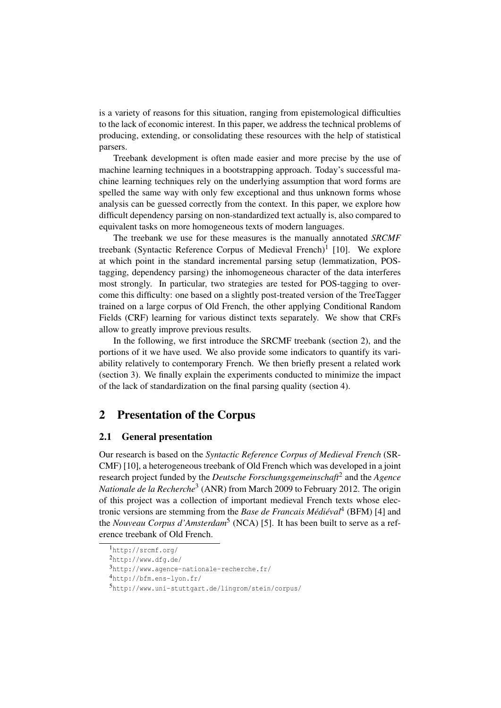is a variety of reasons for this situation, ranging from epistemological difficulties to the lack of economic interest. In this paper, we address the technical problems of producing, extending, or consolidating these resources with the help of statistical parsers.

Treebank development is often made easier and more precise by the use of machine learning techniques in a bootstrapping approach. Today's successful machine learning techniques rely on the underlying assumption that word forms are spelled the same way with only few exceptional and thus unknown forms whose analysis can be guessed correctly from the context. In this paper, we explore how difficult dependency parsing on non-standardized text actually is, also compared to equivalent tasks on more homogeneous texts of modern languages.

The treebank we use for these measures is the manually annotated *SRCMF* treebank (Syntactic Reference Corpus of Medieval French)<sup>1</sup> [10]. We explore at which point in the standard incremental parsing setup (lemmatization, POStagging, dependency parsing) the inhomogeneous character of the data interferes most strongly. In particular, two strategies are tested for POS-tagging to overcome this difficulty: one based on a slightly post-treated version of the TreeTagger trained on a large corpus of Old French, the other applying Conditional Random Fields (CRF) learning for various distinct texts separately. We show that CRFs allow to greatly improve previous results.

In the following, we first introduce the SRCMF treebank (section 2), and the portions of it we have used. We also provide some indicators to quantify its variability relatively to contemporary French. We then briefly present a related work (section 3). We finally explain the experiments conducted to minimize the impact of the lack of standardization on the final parsing quality (section 4).

### 2 Presentation of the Corpus

#### 2.1 General presentation

Our research is based on the *Syntactic Reference Corpus of Medieval French* (SR-CMF) [10], a heterogeneous treebank of Old French which was developed in a joint research project funded by the *Deutsche Forschungsgemeinschaft*<sup>2</sup> and the *Agence* Nationale de la Recherche<sup>3</sup> (ANR) from March 2009 to February 2012. The origin of this project was a collection of important medieval French texts whose electronic versions are stemming from the *Base de Francais Médiéval*<sup>4</sup> (BFM) [4] and the *Nouveau Corpus d'Amsterdam*<sup>5</sup> (NCA) [5]. It has been built to serve as a reference treebank of Old French.

<sup>1</sup>http://srcmf.org/

<sup>2</sup>http://www.dfg.de/

<sup>3</sup>http://www.agence-nationale-recherche.fr/

<sup>4</sup>http://bfm.ens-lyon.fr/

<sup>5</sup>http://www.uni-stuttgart.de/lingrom/stein/corpus/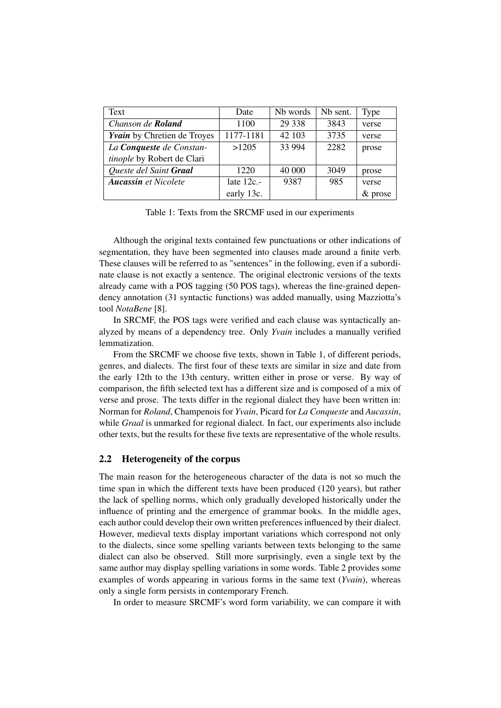| Text                               | Date         | N <sub>b</sub> words | Nb sent. | <b>Type</b> |
|------------------------------------|--------------|----------------------|----------|-------------|
| Chanson de Roland                  | 1100         | 29 3 38              | 3843     | verse       |
| <b>Yvain</b> by Chretien de Troyes | 1177-1181    | 42 103               | 3735     | verse       |
| La Conqueste de Constan-           | >1205        | 33 9 94              | 2282     | prose       |
| tinople by Robert de Clari         |              |                      |          |             |
| Queste del Saint Graal             | 1220         | 40 000               | 3049     | prose       |
| <b>Aucassin</b> et Nicolete        | late $12c$ . | 9387                 | 985      | verse       |
|                                    | early 13c.   |                      |          | $&$ prose   |

Table 1: Texts from the SRCMF used in our experiments

Although the original texts contained few punctuations or other indications of segmentation, they have been segmented into clauses made around a finite verb. These clauses will be referred to as "sentences" in the following, even if a subordinate clause is not exactly a sentence. The original electronic versions of the texts already came with a POS tagging (50 POS tags), whereas the fine-grained dependency annotation (31 syntactic functions) was added manually, using Mazziotta's tool *NotaBene* [8].

In SRCMF, the POS tags were verified and each clause was syntactically analyzed by means of a dependency tree. Only *Yvain* includes a manually verified lemmatization.

From the SRCMF we choose five texts, shown in Table 1, of different periods, genres, and dialects. The first four of these texts are similar in size and date from the early 12th to the 13th century, written either in prose or verse. By way of comparison, the fifth selected text has a different size and is composed of a mix of verse and prose. The texts differ in the regional dialect they have been written in: Norman for *Roland*, Champenois for *Yvain*, Picard for *La Conqueste* and *Aucassin*, while *Graal* is unmarked for regional dialect. In fact, our experiments also include other texts, but the results for these five texts are representative of the whole results.

#### 2.2 Heterogeneity of the corpus

The main reason for the heterogeneous character of the data is not so much the time span in which the different texts have been produced (120 years), but rather the lack of spelling norms, which only gradually developed historically under the influence of printing and the emergence of grammar books. In the middle ages, each author could develop their own written preferences influenced by their dialect. However, medieval texts display important variations which correspond not only to the dialects, since some spelling variants between texts belonging to the same dialect can also be observed. Still more surprisingly, even a single text by the same author may display spelling variations in some words. Table 2 provides some examples of words appearing in various forms in the same text (*Yvain*), whereas only a single form persists in contemporary French.

In order to measure SRCMF's word form variability, we can compare it with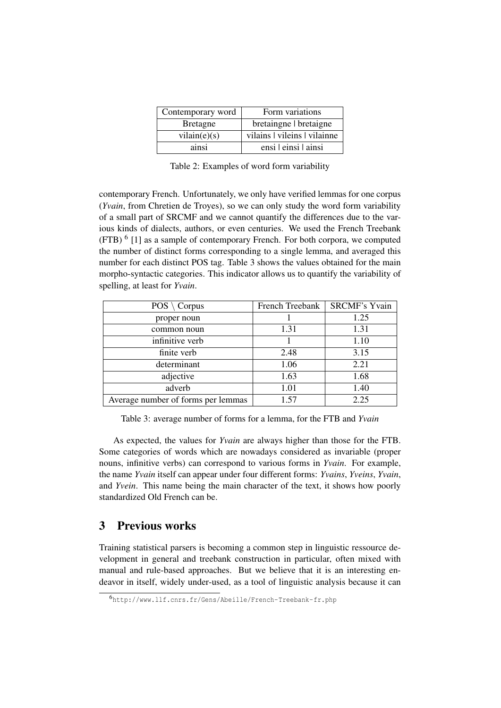| Contemporary word | Form variations              |
|-------------------|------------------------------|
| <b>Bretagne</b>   | bretaingne   bretaigne       |
| vilain(e)(s)      | vilains   vileins   vilainne |
| ainsi             | ensi Leinsi Lainsi           |

Table 2: Examples of word form variability

contemporary French. Unfortunately, we only have verified lemmas for one corpus (*Yvain*, from Chretien de Troyes), so we can only study the word form variability of a small part of SRCMF and we cannot quantify the differences due to the various kinds of dialects, authors, or even centuries. We used the French Treebank (FTB)<sup>6</sup> [1] as a sample of contemporary French. For both corpora, we computed the number of distinct forms corresponding to a single lemma, and averaged this number for each distinct POS tag. Table 3 shows the values obtained for the main morpho-syntactic categories. This indicator allows us to quantify the variability of spelling, at least for *Yvain*.

| $POS \setminus Corpus$             | French Treebank | <b>SRCMF's Yvain</b> |
|------------------------------------|-----------------|----------------------|
| proper noun                        |                 | 1.25                 |
| common noun                        | 1.31            | 1.31                 |
| infinitive verb                    |                 | 1.10                 |
| finite verb                        | 2.48            | 3.15                 |
| determinant                        | 1.06            | 2.21                 |
| adjective                          | 1.63            | 1.68                 |
| adverb                             | 1.01            | 1.40                 |
| Average number of forms per lemmas | 1.57            | 2.25                 |

Table 3: average number of forms for a lemma, for the FTB and *Yvain*

As expected, the values for *Yvain* are always higher than those for the FTB. Some categories of words which are nowadays considered as invariable (proper nouns, infinitive verbs) can correspond to various forms in *Yvain*. For example, the name *Yvain* itself can appear under four different forms: *Yvains*, *Yveins*, *Yvain*, and *Yvein*. This name being the main character of the text, it shows how poorly standardized Old French can be.

## 3 Previous works

Training statistical parsers is becoming a common step in linguistic ressource development in general and treebank construction in particular, often mixed with manual and rule-based approaches. But we believe that it is an interesting endeavor in itself, widely under-used, as a tool of linguistic analysis because it can

<sup>6</sup>http://www.llf.cnrs.fr/Gens/Abeille/French-Treebank-fr.php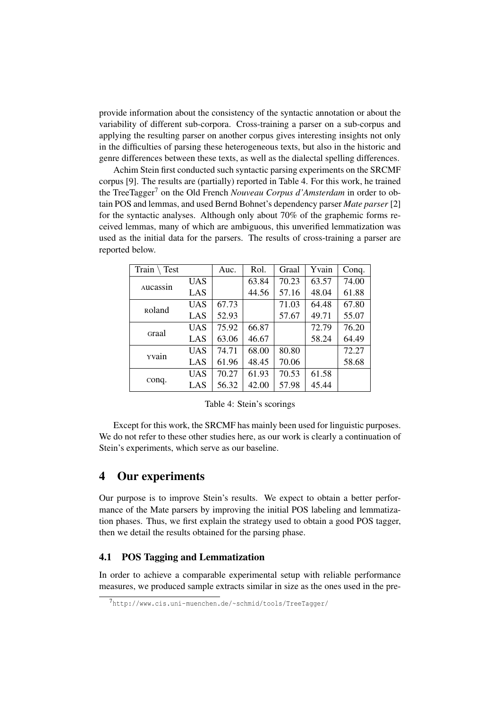provide information about the consistency of the syntactic annotation or about the variability of different sub-corpora. Cross-training a parser on a sub-corpus and applying the resulting parser on another corpus gives interesting insights not only in the difficulties of parsing these heterogeneous texts, but also in the historic and genre differences between these texts, as well as the dialectal spelling differences.

Achim Stein first conducted such syntactic parsing experiments on the SRCMF corpus [9]. The results are (partially) reported in Table 4. For this work, he trained the TreeTagger<sup>7</sup> on the Old French *Nouveau Corpus d'Amsterdam* in order to obtain POS and lemmas, and used Bernd Bohnet's dependency parser *Mate parser* [2] for the syntactic analyses. Although only about 70% of the graphemic forms received lemmas, many of which are ambiguous, this unverified lemmatization was used as the initial data for the parsers. The results of cross-training a parser are reported below.

| Train<br>Test  |            | Auc.  | Rol.  | Graal | Yvain | Conq. |
|----------------|------------|-------|-------|-------|-------|-------|
|                | <b>UAS</b> |       | 63.84 | 70.23 | 63.57 | 74.00 |
| Aucassin       | LAS        |       | 44.56 | 57.16 | 48.04 | 61.88 |
| <b>R</b> oland | <b>UAS</b> | 67.73 |       | 71.03 | 64.48 | 67.80 |
|                | LAS        | 52.93 |       | 57.67 | 49.71 | 55.07 |
| Graal          | <b>UAS</b> | 75.92 | 66.87 |       | 72.79 | 76.20 |
|                | LAS        | 63.06 | 46.67 |       | 58.24 | 64.49 |
| yvain          | <b>UAS</b> | 74.71 | 68.00 | 80.80 |       | 72.27 |
|                | LAS        | 61.96 | 48.45 | 70.06 |       | 58.68 |
|                | <b>UAS</b> | 70.27 | 61.93 | 70.53 | 61.58 |       |
| conq.          | LAS        | 56.32 | 42.00 | 57.98 | 45.44 |       |

Table 4: Stein's scorings

Except for this work, the SRCMF has mainly been used for linguistic purposes. We do not refer to these other studies here, as our work is clearly a continuation of Stein's experiments, which serve as our baseline.

## 4 Our experiments

Our purpose is to improve Stein's results. We expect to obtain a better performance of the Mate parsers by improving the initial POS labeling and lemmatization phases. Thus, we first explain the strategy used to obtain a good POS tagger, then we detail the results obtained for the parsing phase.

#### 4.1 POS Tagging and Lemmatization

In order to achieve a comparable experimental setup with reliable performance measures, we produced sample extracts similar in size as the ones used in the pre-

<sup>7</sup>http://www.cis.uni-muenchen.de/~schmid/tools/TreeTagger/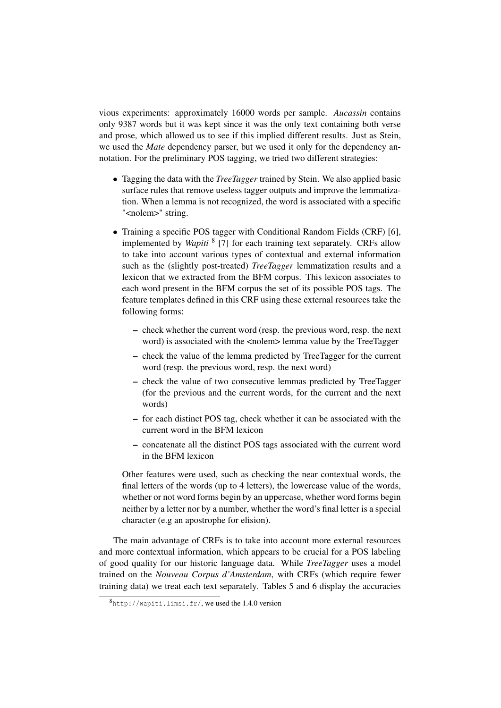vious experiments: approximately 16000 words per sample. *Aucassin* contains only 9387 words but it was kept since it was the only text containing both verse and prose, which allowed us to see if this implied different results. Just as Stein, we used the *Mate* dependency parser, but we used it only for the dependency annotation. For the preliminary POS tagging, we tried two different strategies:

- Tagging the data with the *TreeTagger* trained by Stein. We also applied basic surface rules that remove useless tagger outputs and improve the lemmatization. When a lemma is not recognized, the word is associated with a specific "<nolem>" string.
- Training a specific POS tagger with Conditional Random Fields (CRF) [6], implemented by *Wapiti* <sup>8</sup> [7] for each training text separately. CRFs allow to take into account various types of contextual and external information such as the (slightly post-treated) *TreeTagger* lemmatization results and a lexicon that we extracted from the BFM corpus. This lexicon associates to each word present in the BFM corpus the set of its possible POS tags. The feature templates defined in this CRF using these external resources take the following forms:
	- check whether the current word (resp. the previous word, resp. the next word) is associated with the <nolem> lemma value by the TreeTagger
	- check the value of the lemma predicted by TreeTagger for the current word (resp. the previous word, resp. the next word)
	- check the value of two consecutive lemmas predicted by TreeTagger (for the previous and the current words, for the current and the next words)
	- for each distinct POS tag, check whether it can be associated with the current word in the BFM lexicon
	- concatenate all the distinct POS tags associated with the current word in the BFM lexicon

Other features were used, such as checking the near contextual words, the final letters of the words (up to 4 letters), the lowercase value of the words, whether or not word forms begin by an uppercase, whether word forms begin neither by a letter nor by a number, whether the word's final letter is a special character (e.g an apostrophe for elision).

The main advantage of CRFs is to take into account more external resources and more contextual information, which appears to be crucial for a POS labeling of good quality for our historic language data. While *TreeTagger* uses a model trained on the *Nouveau Corpus d'Amsterdam*, with CRFs (which require fewer training data) we treat each text separately. Tables 5 and 6 display the accuracies

<sup>8</sup>http://wapiti.limsi.fr/, we used the 1.4.0 version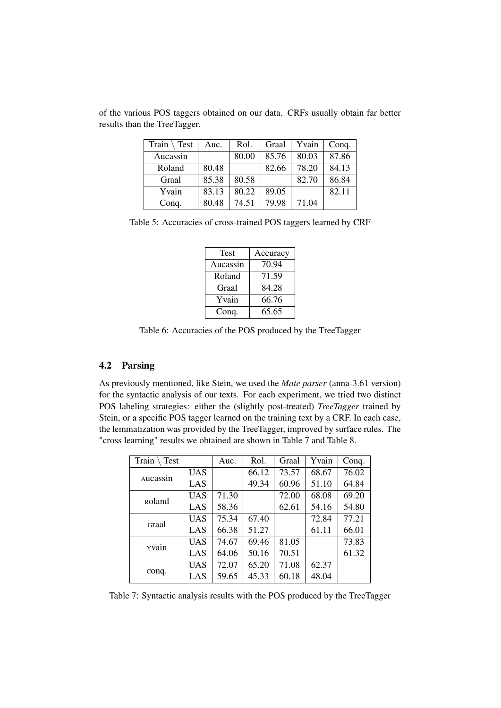| Train $\setminus$ Test | Auc.  | Rol.  | Graal | Yvain | Conq. |
|------------------------|-------|-------|-------|-------|-------|
| Aucassin               |       | 80.00 | 85.76 | 80.03 | 87.86 |
| Roland                 | 80.48 |       | 82.66 | 78.20 | 84.13 |
| Graal                  | 85.38 | 80.58 |       | 82.70 | 86.84 |
| Yvain                  | 83.13 | 80.22 | 89.05 |       | 82.11 |
| Conq.                  | 80.48 | 74.51 | 79.98 | 71.04 |       |

of the various POS taggers obtained on our data. CRFs usually obtain far better results than the TreeTagger.

Table 5: Accuracies of cross-trained POS taggers learned by CRF

| Test     | Accuracy |
|----------|----------|
| Aucassin | 70.94    |
| Roland   | 71.59    |
| Graal    | 84.28    |
| Yvain    | 66.76    |
| Conq.    | 65.65    |

Table 6: Accuracies of the POS produced by the TreeTagger

#### 4.2 Parsing

As previously mentioned, like Stein, we used the *Mate parser* (anna-3.61 version) for the syntactic analysis of our texts. For each experiment, we tried two distinct POS labeling strategies: either the (slightly post-treated) *TreeTagger* trained by Stein, or a specific POS tagger learned on the training text by a CRF. In each case, the lemmatization was provided by the TreeTagger, improved by surface rules. The "cross learning" results we obtained are shown in Table 7 and Table 8.

| Train<br>Test  |            | Auc.  | Rol.  | Graal | Yvain | Conq. |
|----------------|------------|-------|-------|-------|-------|-------|
|                | UAS        |       | 66.12 | 73.57 | 68.67 | 76.02 |
| Aucassin       | LAS        |       | 49.34 | 60.96 | 51.10 | 64.84 |
| <b>R</b> oland | UAS        | 71.30 |       | 72.00 | 68.08 | 69.20 |
|                | LAS        | 58.36 |       | 62.61 | 54.16 | 54.80 |
| Graal          | <b>UAS</b> | 75.34 | 67.40 |       | 72.84 | 77.21 |
|                | LAS        | 66.38 | 51.27 |       | 61.11 | 66.01 |
| yvain          | <b>UAS</b> | 74.67 | 69.46 | 81.05 |       | 73.83 |
|                | LAS        | 64.06 | 50.16 | 70.51 |       | 61.32 |
|                | <b>UAS</b> | 72.07 | 65.20 | 71.08 | 62.37 |       |
| conq.          | LAS        | 59.65 | 45.33 | 60.18 | 48.04 |       |

Table 7: Syntactic analysis results with the POS produced by the TreeTagger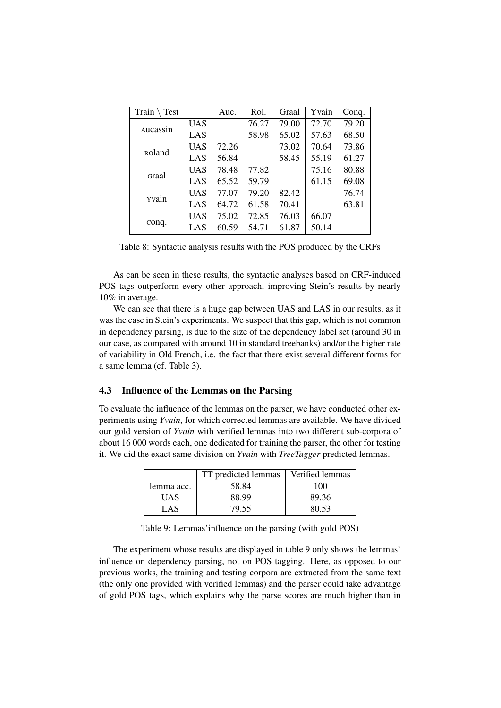| Train $\setminus$<br>Test |            | Auc.  | Rol.  | Graal | Yvain | Conq. |
|---------------------------|------------|-------|-------|-------|-------|-------|
|                           | <b>UAS</b> |       | 76.27 | 79.00 | 72.70 | 79.20 |
| Aucassin                  | LAS        |       | 58.98 | 65.02 | 57.63 | 68.50 |
| <b>R</b> oland            | <b>UAS</b> | 72.26 |       | 73.02 | 70.64 | 73.86 |
|                           | LAS        | 56.84 |       | 58.45 | 55.19 | 61.27 |
| Graal                     | UAS        | 78.48 | 77.82 |       | 75.16 | 80.88 |
|                           | LAS        | 65.52 | 59.79 |       | 61.15 | 69.08 |
| yvain                     | <b>UAS</b> | 77.07 | 79.20 | 82.42 |       | 76.74 |
|                           | LAS        | 64.72 | 61.58 | 70.41 |       | 63.81 |
|                           | <b>UAS</b> | 75.02 | 72.85 | 76.03 | 66.07 |       |
| conq.                     | LAS        | 60.59 | 54.71 | 61.87 | 50.14 |       |

Table 8: Syntactic analysis results with the POS produced by the CRFs

As can be seen in these results, the syntactic analyses based on CRF-induced POS tags outperform every other approach, improving Stein's results by nearly 10% in average.

We can see that there is a huge gap between UAS and LAS in our results, as it was the case in Stein's experiments. We suspect that this gap, which is not common in dependency parsing, is due to the size of the dependency label set (around 30 in our case, as compared with around 10 in standard treebanks) and/or the higher rate of variability in Old French, i.e. the fact that there exist several different forms for a same lemma (cf. Table 3).

#### 4.3 Influence of the Lemmas on the Parsing

To evaluate the influence of the lemmas on the parser, we have conducted other experiments using *Yvain*, for which corrected lemmas are available. We have divided our gold version of *Yvain* with verified lemmas into two different sub-corpora of about 16 000 words each, one dedicated for training the parser, the other for testing it. We did the exact same division on *Yvain* with *TreeTagger* predicted lemmas.

|            | TT predicted lemmas | Verified lemmas |
|------------|---------------------|-----------------|
| lemma acc. | 58.84               | 100             |
| UAS        | 88.99               | 89.36           |
| LAS        | 79.55               | 80.53           |

Table 9: Lemmas'influence on the parsing (with gold POS)

The experiment whose results are displayed in table 9 only shows the lemmas' influence on dependency parsing, not on POS tagging. Here, as opposed to our previous works, the training and testing corpora are extracted from the same text (the only one provided with verified lemmas) and the parser could take advantage of gold POS tags, which explains why the parse scores are much higher than in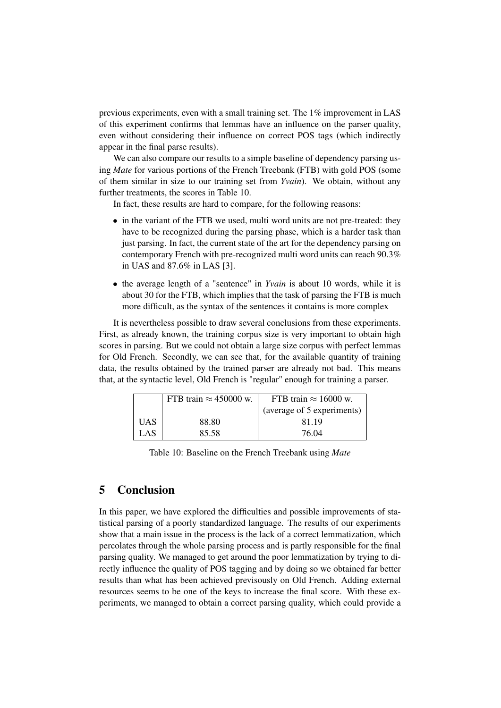previous experiments, even with a small training set. The 1% improvement in LAS of this experiment confirms that lemmas have an influence on the parser quality, even without considering their influence on correct POS tags (which indirectly appear in the final parse results).

We can also compare our results to a simple baseline of dependency parsing using *Mate* for various portions of the French Treebank (FTB) with gold POS (some of them similar in size to our training set from *Yvain*). We obtain, without any further treatments, the scores in Table 10.

In fact, these results are hard to compare, for the following reasons:

- in the variant of the FTB we used, multi word units are not pre-treated: they have to be recognized during the parsing phase, which is a harder task than just parsing. In fact, the current state of the art for the dependency parsing on contemporary French with pre-recognized multi word units can reach 90.3% in UAS and 87.6% in LAS [3].
- the average length of a "sentence" in *Yvain* is about 10 words, while it is about 30 for the FTB, which implies that the task of parsing the FTB is much more difficult, as the syntax of the sentences it contains is more complex

It is nevertheless possible to draw several conclusions from these experiments. First, as already known, the training corpus size is very important to obtain high scores in parsing. But we could not obtain a large size corpus with perfect lemmas for Old French. Secondly, we can see that, for the available quantity of training data, the results obtained by the trained parser are already not bad. This means that, at the syntactic level, Old French is "regular" enough for training a parser.

|      | FTB train $\approx$ 450000 w. | FTB train $\approx 16000$ w. |
|------|-------------------------------|------------------------------|
|      |                               | (average of 5 experiments)   |
| UAS  | 88.80                         | 81.19                        |
| LAS. | 85.58                         | 76.04                        |

Table 10: Baseline on the French Treebank using *Mate*

### 5 Conclusion

In this paper, we have explored the difficulties and possible improvements of statistical parsing of a poorly standardized language. The results of our experiments show that a main issue in the process is the lack of a correct lemmatization, which percolates through the whole parsing process and is partly responsible for the final parsing quality. We managed to get around the poor lemmatization by trying to directly influence the quality of POS tagging and by doing so we obtained far better results than what has been achieved previsously on Old French. Adding external resources seems to be one of the keys to increase the final score. With these experiments, we managed to obtain a correct parsing quality, which could provide a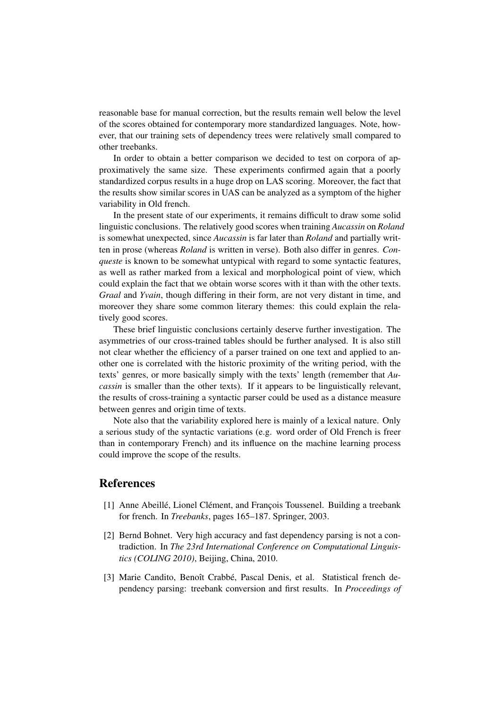reasonable base for manual correction, but the results remain well below the level of the scores obtained for contemporary more standardized languages. Note, however, that our training sets of dependency trees were relatively small compared to other treebanks.

In order to obtain a better comparison we decided to test on corpora of approximatively the same size. These experiments confirmed again that a poorly standardized corpus results in a huge drop on LAS scoring. Moreover, the fact that the results show similar scores in UAS can be analyzed as a symptom of the higher variability in Old french.

In the present state of our experiments, it remains difficult to draw some solid linguistic conclusions. The relatively good scores when training *Aucassin* on *Roland* is somewhat unexpected, since *Aucassin* is far later than *Roland* and partially written in prose (whereas *Roland* is written in verse). Both also differ in genres. *Conqueste* is known to be somewhat untypical with regard to some syntactic features, as well as rather marked from a lexical and morphological point of view, which could explain the fact that we obtain worse scores with it than with the other texts. *Graal* and *Yvain*, though differing in their form, are not very distant in time, and moreover they share some common literary themes: this could explain the relatively good scores.

These brief linguistic conclusions certainly deserve further investigation. The asymmetries of our cross-trained tables should be further analysed. It is also still not clear whether the efficiency of a parser trained on one text and applied to another one is correlated with the historic proximity of the writing period, with the texts' genres, or more basically simply with the texts' length (remember that *Aucassin* is smaller than the other texts). If it appears to be linguistically relevant, the results of cross-training a syntactic parser could be used as a distance measure between genres and origin time of texts.

Note also that the variability explored here is mainly of a lexical nature. Only a serious study of the syntactic variations (e.g. word order of Old French is freer than in contemporary French) and its influence on the machine learning process could improve the scope of the results.

## **References**

- [1] Anne Abeillé, Lionel Clément, and François Toussenel. Building a treebank for french. In *Treebanks*, pages 165–187. Springer, 2003.
- [2] Bernd Bohnet. Very high accuracy and fast dependency parsing is not a contradiction. In *The 23rd International Conference on Computational Linguistics (COLING 2010)*, Beijing, China, 2010.
- [3] Marie Candito, Benoît Crabbé, Pascal Denis, et al. Statistical french dependency parsing: treebank conversion and first results. In *Proceedings of*